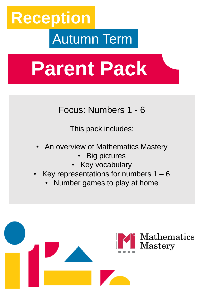# **Reception** Autumn Term

# **Parent Pack**

Focus: Numbers 1 - 6

This pack includes:

- An overview of Mathematics Mastery
	- **Big pictures**
	- Key vocabulary
- Key representations for numbers  $1 6$ 
	- Number games to play at home

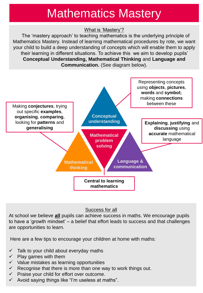## Mathematics Mastery

#### What is 'Mastery'?

The 'mastery approach' to teaching mathematics is the underlying principle of Mathematics Mastery. Instead of learning mathematical procedures by rote, we want your child to build a deep understanding of concepts which will enable them to apply their learning in different situations. To achieve this we aim to develop pupils' **Conceptual Understanding, Mathematical Thinking** and **Language and Communication.** (See diagram below).



#### Success for all

At school we believe **all** pupils can achieve success in maths. We encourage pupils to have a 'growth mindset' – a belief that effort leads to success and that challenges are opportunities to learn.

Here are a few tips to encourage your children at home with maths:

- $\checkmark$  Talk to your child about everyday maths
- $\checkmark$  Play games with them
- $\checkmark$  Value mistakes as learning opportunities
- $\checkmark$  Recognise that there is more than one way to work things out.
- $\checkmark$  Praise your child for effort over outcome.
- $\checkmark$  Avoid saying things like "I'm useless at maths".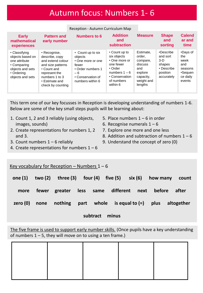### Autumn focus: Numbers 1- 6

#### Reception - Autumn Curriculum Map

| <b>Early</b><br>mathematical<br>experiences                                                                             | <b>Pattern and</b><br>early number                                                                                                                                | Numbers to 6                                                                                                                    | <b>Addition</b><br>and<br><b>subtraction</b>                                                                                               | <b>Measure</b>                                                                                     | <b>Shape</b><br>and<br>sorting                                                   | <b>Calend</b><br>ar and<br>time                                            |
|-------------------------------------------------------------------------------------------------------------------------|-------------------------------------------------------------------------------------------------------------------------------------------------------------------|---------------------------------------------------------------------------------------------------------------------------------|--------------------------------------------------------------------------------------------------------------------------------------------|----------------------------------------------------------------------------------------------------|----------------------------------------------------------------------------------|----------------------------------------------------------------------------|
| • Classifying<br>objects based on<br>one attribute<br>• Comparing<br>objects and sets<br>• Ordering<br>objects and sets | • Recognise,<br>describe, copy<br>and extend colour<br>and size patterns<br>• Count and<br>represent the<br>numbers 1 to 3<br>• Estimate and<br>check by counting | • Count up to six<br>objects<br>• One more or one<br>fewer<br>• Order numbers 1<br>- 6<br>• Conservation of<br>numbers within 6 | • Count up to<br>six objects<br>• One more or<br>one fewer<br>$\cdot$ Order<br>numbers $1 - 6$<br>• Conservation<br>of numbers<br>within 6 | Estimate.<br>order.<br>compare,<br>discuss<br>and<br>explore<br>capacity,<br>weight and<br>lengths | •Describe<br>and sort<br>$3-D$<br>shapes<br>• Describe<br>position<br>accurately | •Days of<br>the<br>week<br>and<br>seasons<br>•Seauen<br>ce daily<br>events |

This term one of our key focusses in Reception is developing understanding of numbers 1-6. Below are some of the key small steps pupils will be learning about:

> 5. Place numbers  $1 - 6$  in order 6. Recognise numerals  $1 - 6$

7. Explore one more and one less

9. Understand the concept of zero (0)

8. Addition and subtraction of numbers  $1 - 6$ 

- 1. Count 1, 2 and 3 reliably (using objects, images, sounds)
- 2. Create representations for numbers 1, 2 and 3.
- 3. Count numbers  $1 6$  reliably
- 4. Create representations for numbers  $1 6$

#### Key vocabulary for Reception – Numbers  $1 - 6$

| one $(1)$ |      | two $(2)$ three $(3)$ four $(4)$ five $(5)$ six $(6)$ |  |      | how many | count      |
|-----------|------|-------------------------------------------------------|--|------|----------|------------|
| more      |      | fewer greater less same different                     |  | next | before   | after      |
| zero (0)  | none | nothing part whole is equal to $(=)$                  |  |      | plus     | altogether |

#### **subtract minus**

The five frame is used to support early number skills. (Once pupils have a key understanding of numbers  $1 - 5$ , they will move on to using a ten frame.)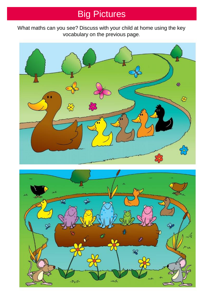## Big Pictures

What maths can you see? Discuss with your child at home using the key vocabulary on the previous page.



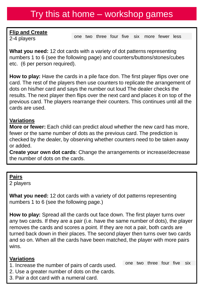### Try this at home – workshop games

**Flip and Create** 

2-4 players

one two three four five six more fewer less

**What you need:** 12 dot cards with a variety of dot patterns representing numbers 1 to 6 (see the following page) and counters/buttons/stones/cubes etc. (6 per person required).

**How to play:** Have the cards in a pile face don. The first player flips over one card. The rest of the players then use counters to replicate the arrangement of dots on his/her card and says the number out loud The dealer checks the results. The next player then flips over the next card and places it on top of the previous card. The players rearrange their counters. This continues until all the cards are used.

#### **Variations**

**More or fewer:** Each child can predict aloud whether the new card has more, fewer or the same number of dots as the previous card. The prediction is checked by the dealer, by observing whether counters need to be taken away or added.

**Create your own dot cards**: Change the arrangements or increase/decrease the number of dots on the cards.

#### **Pairs**

2 players

**What you need:** 12 dot cards with a variety of dot patterns representing numbers 1 to 6 (see the following page.)

**How to play:** Spread all the cards out face down. The first player turns over any two cards. If they are a pair (i.e. have the same number of dots), the player removes the cards and scores a point. If they are not a pair, both cards are turned back down in their places. The second player then turns over two cards and so on. When all the cards have been matched, the player with more pairs wins.

#### **Variations**

- 1. Increase the number of pairs of cards used.
- 2. Use a greater number of dots on the cards.
- 3. Pair a dot card with a numeral card.

one two three four five six